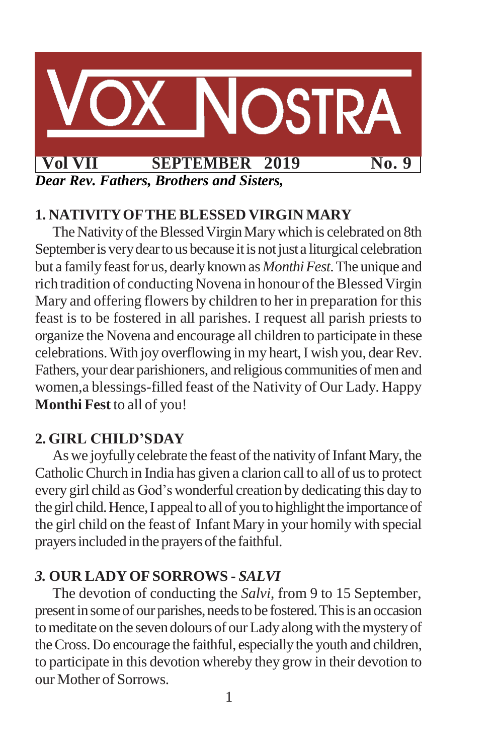

## **1. NATIVITYOFTHE BLESSED VIRGIN MARY**

The Nativity of the Blessed Virgin Mary which is celebrated on 8th September is very dear to us because it is not just a liturgical celebration but a family feast for us, dearly known as *Monthi Fest*. The unique and rich tradition of conducting Novena in honour of the Blessed Virgin Mary and offering flowers by children to her in preparation for this feast is to be fostered in all parishes. I request all parish priests to organize the Novena and encourage all children to participate in these celebrations. With joy overflowing in my heart, I wish you, dear Rev. Fathers, your dear parishioners, and religious communities of men and women,a blessings-filled feast of the Nativity of Our Lady. Happy **Monthi Fest** to all of you!

## **2. GIRL CHILD'SDAY**

As we joyfully celebrate the feast of the nativity of Infant Mary, the CatholicChurch in India has given a clarion call to all of usto protect every girl child as God's wonderful creation by dedicating this day to the girl child. Hence, I appeal to all of you to highlight the importance of the girl child on the feast of Infant Mary in your homily with special prayers included in the prayers of the faithful.

# *3.* **OUR LADY OFSORROWS -** *SALVI*

The devotion of conducting the *Salvi*, from 9 to 15 September, present in some of our parishes, needs to be fostered. This is an occasion to meditate on the seven dolours of our Lady along with the mystery of the Cross. Do encourage the faithful, especially the youth and children, to participate in this devotion whereby they grow in their devotion to our Mother of Sorrows.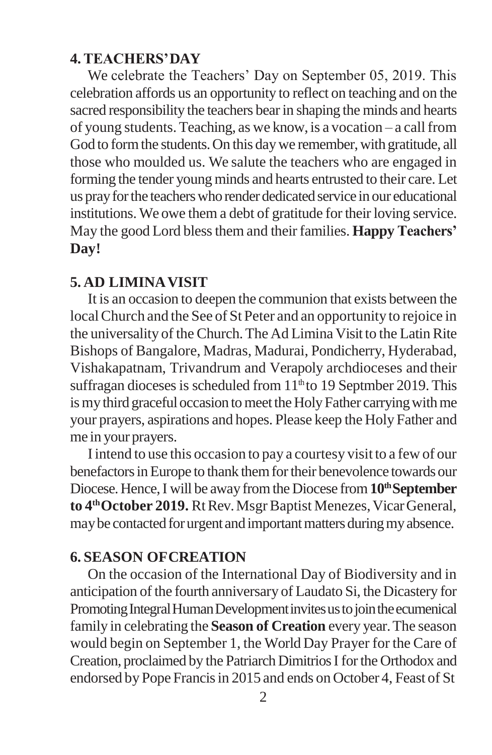### **4.TEACHERS'DAY**

We celebrate the Teachers' Day on September 05, 2019. This celebration affords us an opportunity to reflect on teaching and on the sacred responsibility the teachers bearin shaping the minds and hearts of young students. Teaching, as we know, is a vocation – a callfrom God to form the students. On this day we remember, with gratitude, all those who moulded us. We salute the teachers who are engaged in forming the tender young minds and hearts entrusted to their care. Let us pray for the teachers who render dedicated service in our educational institutions. We owe them a debt of gratitude for their loving service. May the good Lord blessthem and their families. **Happy Teachers' Day!**

#### **5. AD LIMINAVISIT**

It is an occasion to deepen the communion that exists between the localChurch and the See of St Peter and an opportunity to rejoice in the universality of the Church. The Ad Limina Visit to the Latin Rite Bishops of Bangalore, Madras, Madurai, Pondicherry, Hyderabad, Vishakapatnam, Trivandrum and Verapoly archdioceses and their suffragan dioceses is scheduled from 11<sup>th</sup> to 19 Septmber 2019. This is my third graceful occasion to meet the Holy Father carrying with me your prayers, aspirations and hopes. Please keep the Holy Father and me in your prayers.

Iintend to use this occasion to pay a courtesy visit to a few of our benefactors in Europe to thank them for their benevolence towards our Diocese.Hence,I will be away fromthe Diocese from**10thSeptember to 4 thOctober 2019.** RtRev.MsgrBaptist Menezes,VicarGeneral, may be contacted for urgent and important matters during my absence.

#### **6. SEASON OFCREATION**

On the occasion of the International Day of Biodiversity and in anticipation of the fourth anniversary of Laudato Si, the Dicastery for Promoting Integral Human Development invites us to join the ecumenical family in celebrating the **Season of Creation** every year.The season would begin on September 1, the World Day Prayer for the Care of Creation, proclaimed by the Patriarch Dimitrios I for the Orthodox and endorsed by Pope Francisin 2015 and ends on October 4, Feast of St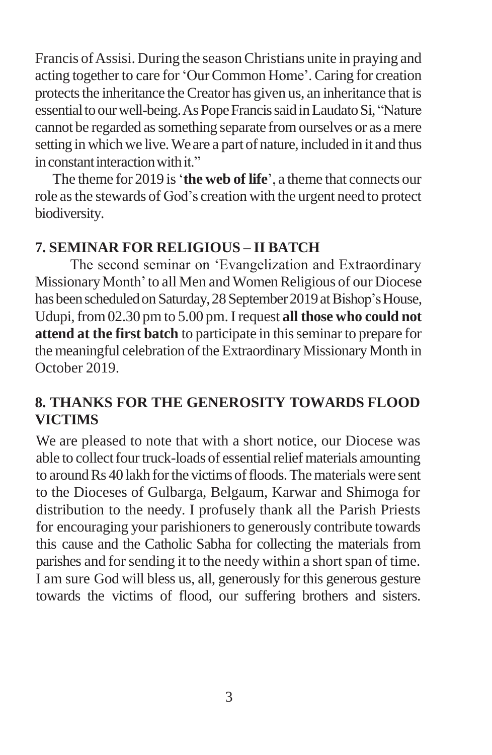Francis of Assisi. During the season Christians unite in praying and acting together to care for 'Our Common Home'. Caring for creation protects the inheritance the Creator has given us, an inheritance that is essential to our well-being. As Pope Francis said in Laudato Si, "Nature cannot be regarded assomething separate fromourselves or as a mere setting in which we live. We are a part of nature, included in it and thus in constant interaction with it"

The theme for 2019 is'**the web of life**', a theme that connects our role asthe stewards of God's creation with the urgent need to protect biodiversity.

# **7. SEMINAR FOR RELIGIOUS – II BATCH**

The second seminar on 'Evangelization and Extraordinary Missionary Month' to all Men and Women Religious of our Diocese has been scheduled on Saturday, 28 September 2019 at Bishop's House, Udupi, from 02.30 pm to 5.00 pm. I request **all those who could not attend at the first batch** to participate in thisseminarto prepare for the meaningful celebration of the Extraordinary Missionary Month in October 2019.

# **8. THANKS FOR THE GENEROSITY TOWARDS FLOOD VICTIMS**

We are pleased to note that with a short notice, our Diocese was able to collect four truck-loads of essential relief materials amounting to around Rs 40 lakh for the victims of floods. The materials were sent to the Dioceses of Gulbarga, Belgaum, Karwar and Shimoga for distribution to the needy. I profusely thank all the Parish Priests for encouraging your parishioners to generously contribute towards this cause and the Catholic Sabha for collecting the materials from parishes and for sending it to the needy within a short span of time. I am sure God will bless us, all, generously for this generous gesture towards the victims of flood, our suffering brothers and sisters.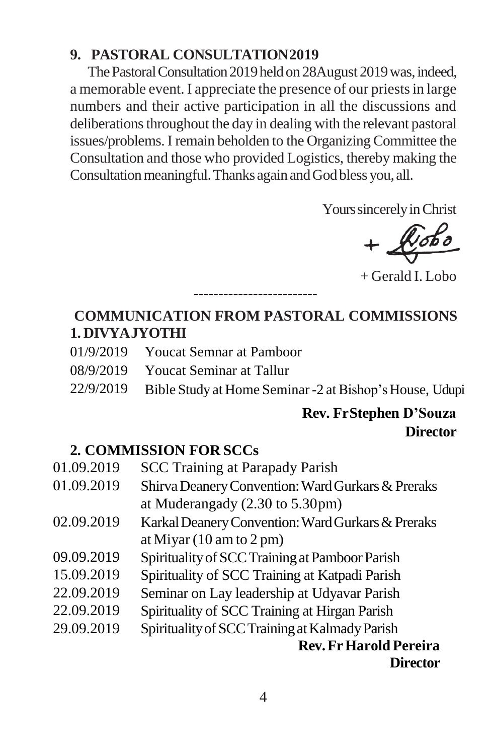## **9. PASTORAL CONSULTATION2019**

The Pastoral Consultation 2019 held on 28 August 2019 was, indeed, a memorable event. I appreciate the presence of our priestsin large numbers and their active participation in all the discussions and deliberations throughout the day in dealing with the relevant pastoral issues/problems. I remain beholden to the Organizing Committee the Consultation and those who provided Logistics, thereby making the Consultation meaningful. Thanks again and God bless you, all.

Yours sincerely in Christ

 $+$  $k$ obo

+ Gerald I. Lobo

-------------------------

## **COMMUNICATION FROM PASTORAL COMMISSIONS 1. DIVYAJYOTHI**

- 01/9/2019 Youcat Semnar at Pamboor
- 08/9/2019 Youcat Seminar at Tallur
- 22/9/2019 Bible Study at Home Seminar -2 at Bishop's House, Udupi

# **Rev. FrStephen D'Souza Director**

### **2. COMMISSION FOR SCCs**

- 01.09.2019 SCC Training at Parapady Parish
- 01.09.2019 Shirva Deanery Convention: Ward Gurkars & Preraks at Muderangady (2.30 to 5.30pm)
- 02.09.2019 Karkal Deanery Convention: Ward Gurkars & Preraks at Miyar (10 am to 2 pm)
- 09.09.2019 Spirituality of SCC Training at Pamboor Parish
- 15.09.2019 Spirituality of SCC Training at Katpadi Parish
- 22.09.2019 Seminar on Lay leadership at Udyavar Parish
- 22.09.2019 Spirituality of SCC Training at Hirgan Parish
- 29.09.2019 Spirituality of SCC Training at Kalmady Parish

**Rev.FrHaroldPereira Director**